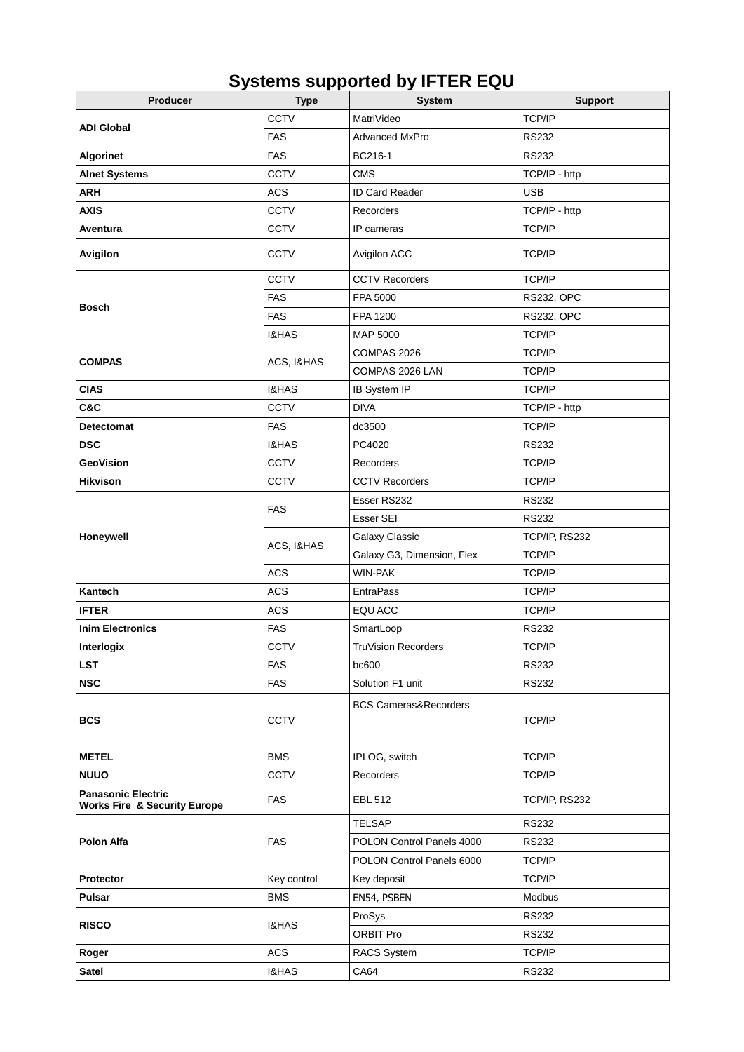| Producer                                                             | <b>Type</b>      | <b>System</b>                    | <b>Support</b>    |
|----------------------------------------------------------------------|------------------|----------------------------------|-------------------|
| <b>ADI Global</b>                                                    | <b>CCTV</b>      | MatriVideo                       | TCP/IP            |
|                                                                      | <b>FAS</b>       | <b>Advanced MxPro</b>            | <b>RS232</b>      |
| <b>Algorinet</b>                                                     | <b>FAS</b>       | BC216-1                          | <b>RS232</b>      |
| <b>Alnet Systems</b>                                                 | <b>CCTV</b>      | <b>CMS</b>                       | TCP/IP - http     |
| <b>ARH</b>                                                           | <b>ACS</b>       | ID Card Reader                   | <b>USB</b>        |
| <b>AXIS</b>                                                          | <b>CCTV</b>      | <b>Recorders</b>                 | TCP/IP - http     |
| Aventura                                                             | <b>CCTV</b>      | IP cameras                       | TCP/IP            |
| Avigilon                                                             | <b>CCTV</b>      | Avigilon ACC                     | TCP/IP            |
| <b>Bosch</b>                                                         | <b>CCTV</b>      | <b>CCTV Recorders</b>            | TCP/IP            |
|                                                                      | <b>FAS</b>       | FPA 5000                         | <b>RS232, OPC</b> |
|                                                                      | <b>FAS</b>       | FPA 1200                         | <b>RS232, OPC</b> |
|                                                                      | <b>I&amp;HAS</b> | MAP 5000                         | TCP/IP            |
| <b>COMPAS</b>                                                        | ACS, I&HAS       | COMPAS 2026                      | TCP/IP            |
|                                                                      |                  | COMPAS 2026 LAN                  | TCP/IP            |
| <b>CIAS</b>                                                          | <b>I&amp;HAS</b> | IB System IP                     | TCP/IP            |
| C&C                                                                  | <b>CCTV</b>      | <b>DIVA</b>                      | TCP/IP - http     |
| <b>Detectomat</b>                                                    | <b>FAS</b>       | dc3500                           | TCP/IP            |
| <b>DSC</b>                                                           | <b>I&amp;HAS</b> | PC4020                           | <b>RS232</b>      |
| <b>GeoVision</b>                                                     | <b>CCTV</b>      | <b>Recorders</b>                 | TCP/IP            |
| <b>Hikvison</b>                                                      | <b>CCTV</b>      | <b>CCTV Recorders</b>            | TCP/IP            |
| Honeywell                                                            | <b>FAS</b>       | Esser RS232                      | <b>RS232</b>      |
|                                                                      |                  | Esser SEI                        | <b>RS232</b>      |
|                                                                      | ACS, I&HAS       | Galaxy Classic                   | TCP/IP, RS232     |
|                                                                      |                  | Galaxy G3, Dimension, Flex       | TCP/IP            |
|                                                                      | <b>ACS</b>       | <b>WIN-PAK</b>                   | TCP/IP            |
| Kantech                                                              | <b>ACS</b>       | <b>EntraPass</b>                 | TCP/IP            |
| <b>IFTER</b>                                                         | <b>ACS</b>       | EQU ACC                          | TCP/IP            |
| <b>Inim Electronics</b>                                              | <b>FAS</b>       | SmartLoop                        | <b>RS232</b>      |
| Interlogix                                                           | <b>CCTV</b>      | <b>TruVision Recorders</b>       | TCP/IP            |
| <b>LST</b>                                                           | <b>FAS</b>       | bc600                            | <b>RS232</b>      |
| <b>NSC</b>                                                           | <b>FAS</b>       | Solution F1 unit                 | <b>RS232</b>      |
| <b>BCS</b>                                                           | <b>CCTV</b>      | <b>BCS Cameras&amp;Recorders</b> | TCP/IP            |
| <b>METEL</b>                                                         | <b>BMS</b>       | IPLOG, switch                    | TCP/IP            |
| <b>NUUO</b>                                                          | <b>CCTV</b>      | <b>Recorders</b>                 | TCP/IP            |
| <b>Panasonic Electric</b><br><b>Works Fire &amp; Security Europe</b> | <b>FAS</b>       | <b>EBL 512</b>                   | TCP/IP, RS232     |
| Polon Alfa                                                           | <b>FAS</b>       | <b>TELSAP</b>                    | <b>RS232</b>      |
|                                                                      |                  | POLON Control Panels 4000        | <b>RS232</b>      |
|                                                                      |                  | POLON Control Panels 6000        | TCP/IP            |
| Protector                                                            | Key control      | Key deposit                      | TCP/IP            |
| Pulsar                                                               | <b>BMS</b>       | EN54, PSBEN                      | Modbus            |
| <b>RISCO</b>                                                         | <b>I&amp;HAS</b> | ProSys                           | <b>RS232</b>      |
|                                                                      |                  | ORBIT Pro                        | <b>RS232</b>      |
| Roger                                                                | ACS              | <b>RACS System</b>               | TCP/IP            |
| <b>Satel</b>                                                         | I&HAS            | CA64                             | <b>RS232</b>      |

## **Systems supported by IFTER EQU**